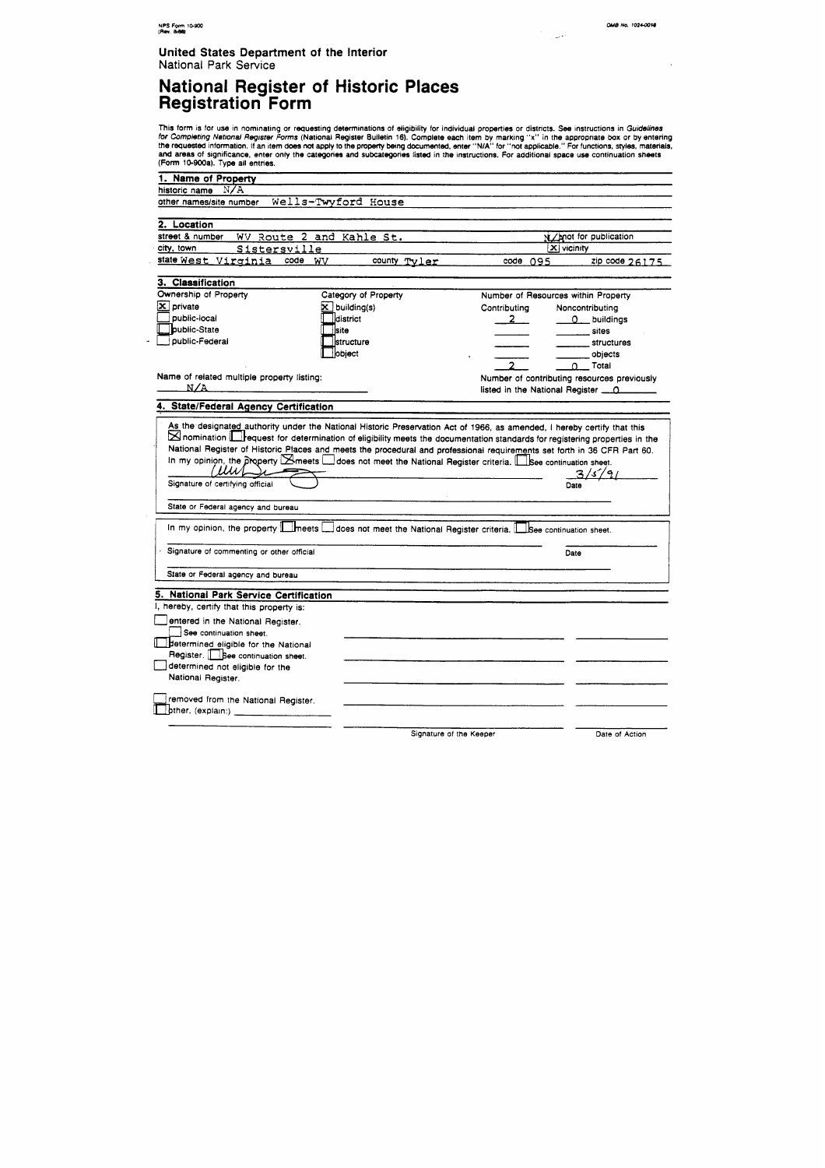$\mathcal{A}$ 

-

 $\bar{\gamma}$ 

#### **United States Department of the Interior**  National **Park Service**

# **National Register of Historic Places Registration Form**

This form is for use in nominating or requesting determinations of eligibility for individual properties or districts. See instructions in *Guidelines* fw Completing Netronal Regrster **Forms** (National Register Bulletin 16). Complete each item by marking **"x"** in the appropnate box or by entering the requested information. If an item **does** not apply to the **propmy** being documented, enter "NIA" for "not applicable." For functions, styles, materials, and areas of significance, enter only the categories and subcategories listed in the instructions. For additional space use continuation sheets (Form 10-900a). Type ail entries.

| 1. Name of Property                        |                          |                                                                                                                          |                |  |
|--------------------------------------------|--------------------------|--------------------------------------------------------------------------------------------------------------------------|----------------|--|
| N/A<br>historic name                       |                          |                                                                                                                          |                |  |
| other names/site number                    | Wells-Twyford House      |                                                                                                                          |                |  |
| 2. Location                                |                          |                                                                                                                          |                |  |
| street & number                            | WV Route 2 and Kahle St. | N/mot for publication                                                                                                    |                |  |
| Sistersville<br>city, town                 |                          | $\overline{\mathbf{x}}$ vicinity                                                                                         |                |  |
| state West Virginia code WV                | county Tyler             | code 095                                                                                                                 | zip code 26175 |  |
| 3. Classification                          |                          |                                                                                                                          |                |  |
| Ownership of Property                      | Category of Property     | Number of Resources within Property                                                                                      |                |  |
| $\mathbf{\Sigma}$ private                  | $\mathbf{X}$ building(s) | Contributing<br>Noncontributing                                                                                          |                |  |
| public-local                               | district                 | $2 \quad$<br>0_ buildings                                                                                                |                |  |
| <b>public-State</b>                        | <b>Site</b>              | sites                                                                                                                    |                |  |
| public-Federal                             | <u>lstructure</u>        | <b>structures</b>                                                                                                        |                |  |
|                                            | object                   | objects                                                                                                                  |                |  |
|                                            |                          | Total<br>∩                                                                                                               |                |  |
| Name of related multiple property listing: |                          | Number of contributing resources previously                                                                              |                |  |
| N/A                                        |                          | listed in the National Register <u>0</u>                                                                                 |                |  |
|                                            |                          |                                                                                                                          |                |  |
|                                            |                          | As the designated authority under the National Historic Preservation Act of 1966, as amended, I hereby certify that this |                |  |
| (UWL<br>Signature of certifying official   |                          | 3/5/91<br>Date                                                                                                           |                |  |
|                                            |                          |                                                                                                                          |                |  |
| State or Federal agency and bureau         |                          |                                                                                                                          |                |  |
|                                            |                          | In my opinion, the property <b>  heets</b>   does not meet the National Register criteria.   See continuation sheet.     |                |  |
| Signature of commenting or other official  |                          | Date                                                                                                                     |                |  |
| State or Federal agency and bureau         |                          |                                                                                                                          |                |  |
| . National Park Service Certification      |                          |                                                                                                                          |                |  |
| I, hereby, certify that this property is:  |                          |                                                                                                                          |                |  |
| entered in the National Register.          |                          |                                                                                                                          |                |  |
| See continuation sheet.                    |                          |                                                                                                                          |                |  |
| determined eligible for the National       |                          |                                                                                                                          |                |  |
| Register. <b>See</b> continuation sheet.   |                          |                                                                                                                          |                |  |
| determined not eligible for the            |                          |                                                                                                                          |                |  |
| National Register.                         |                          |                                                                                                                          |                |  |
| removed from the National Register.        |                          |                                                                                                                          |                |  |
| pther, (explain:) _____________________    |                          |                                                                                                                          |                |  |
|                                            |                          |                                                                                                                          |                |  |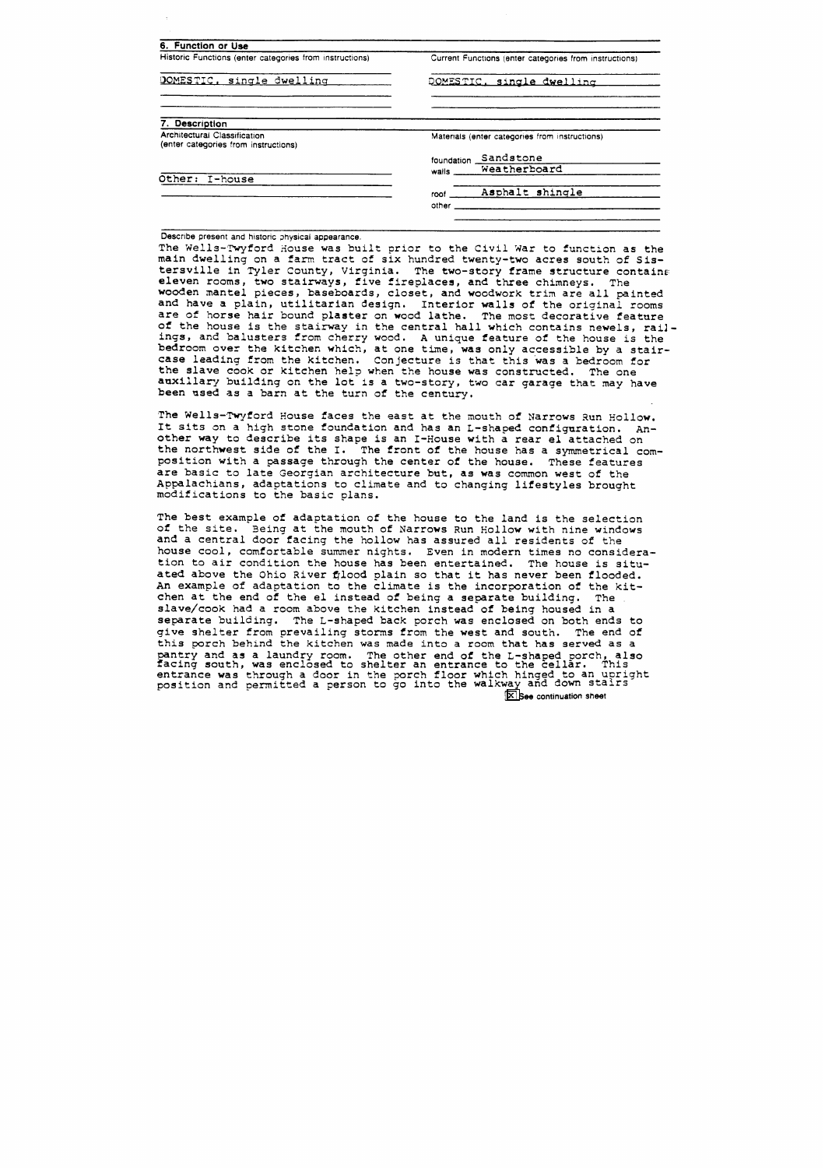| Historic Functions (enter categories from instructions)              | Current Functions (enter categories from instructions) |  |  |  |
|----------------------------------------------------------------------|--------------------------------------------------------|--|--|--|
| DOMESTIC, single dwelling                                            | DOMESTIC, single dwelling                              |  |  |  |
| <b>Description</b>                                                   |                                                        |  |  |  |
| Architectural Classification<br>(enter categories from instructions) | Materials (enter categories from instructions)         |  |  |  |
|                                                                      | Sandstone<br>foundation                                |  |  |  |
|                                                                      | Weatherboard<br>walls                                  |  |  |  |
|                                                                      |                                                        |  |  |  |
|                                                                      |                                                        |  |  |  |
| Other: I-house                                                       | Asphalt shingle<br>roof                                |  |  |  |

Describe present and historic physical appearance.

The Wells-Twyford House was built prior to the Civil War to function as the main dwelling on a farm tract of six hundred twenty-two acres south of Sistersville in Tyler County, Virginia. The two-story frame structure contains eleven rooms, two stairways, five fireplaces, and three chimneys. The wooden mantel pieces, baseboards, closet, and woodwork trim are all painted and have a plain, utilitarian design. Interior walls of the original rooms are of horse hair bound plaster on wood lathe. The most decorative feature of the house is the stairway in the central hall which contains newels, railings, and balusters from cherry wood. **A** unique feature of the house is the bedroom over the kitchen which, at one time, **was** only accessible by a stair**case** leading from the kitchen. Conjecture is that this was a bedroom for the slave cook or kitchen help when the house was constructed. The one auxillary building on the lot is a two-story, two car garage that may have been used **as** a barn at the turn of the century.

The Wells-Twyford House faces the east at the mouth of Narrows Run Hollow. It sits on a high stone foundation and has an L-shaped configuration. Another way to describe its shape is an I-House with a rear el attached on the northwest side of the I. The front of the house has a symmetrical composition with a passage through the center of the house. These features are basic to late Georgian architecture but, as was common west of the Appalachians, adaptations to climate and to changing lifestyles brought modifications to the basic plans.

The best example of adaptation of the house to the land is the selection of the site. Being at the mouth of Narrows Run Hollow with nine windows and a central door facing the hollow has assured all residents of the house cool, comfortable summer nights. Even in modern times no consideration to air condition the house has been entertained. The house is situated above the Ohio River fjlood plain so that it has never been flooded. An example of adaptation to the climate is the incorporation of the kitchen at the end of the el instead of being a separate building. The slave/cook had a room above the kitchen instead of being housed in a separate building. The L-shaped back porch was enclosed on both ends to give shelter from prevailing storms from the west and south. The end of this porch behlnd the kitchen was made into a room that has served **as** a pantry and as a laundry room. The other end of the L-shaped porch, also facing south, was enclosed to shelter an entrance to the cellar. This entrance was through a door in the porch floor which hinged to an upright position and permitted a person to go into the walkway and down stairs See continuation **sheet**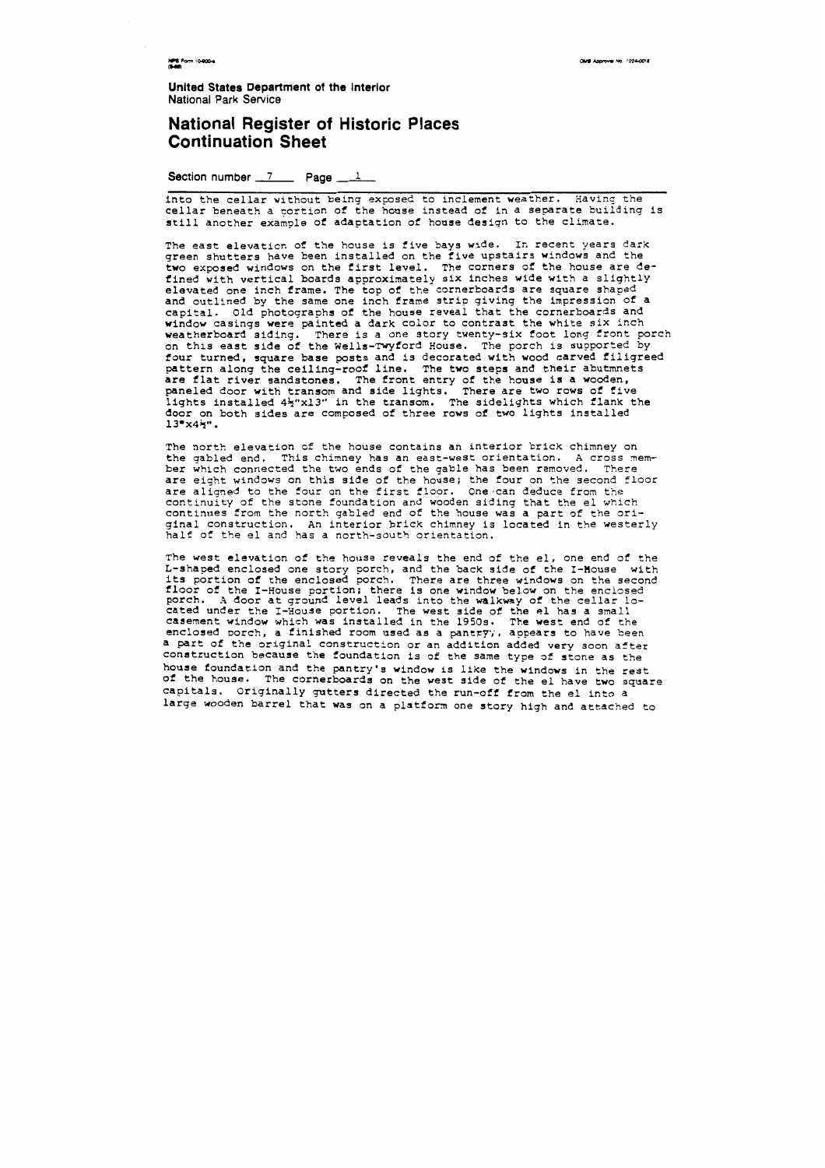**NPS Form 10-900-4** 

OMB Approval No. 1024-0018

**United States Department of the Interior National Park Service** 

#### **National Register of Historic Places Continuation Sheet**

Section number 7 **Page** 1

into the cellar without being exposed to inclement weather. Having the cellar beneath a portion of the house instead of in a separate building is still another example of adaptation of house design to the climate.

The east elevation of the house is five bays wide. In recent years dark green shutters have been installed on the five upstairs windows and the two exposed windows on the first level, The corners of the house are defined with vertical boards approximately six inches wide with a slightly elevated one inch frame. The top of the cornerboards are square shaped and outlined by the same one inch frame strip giving the impression of a capital. old photographs of the house reveal that the cornerboards and window casings were painted a dark color to contrast the white six inch weatherboard siding. There is a one story twenty-six foot long front porch on this east side of the Wells-Twyford House. The porch is supported by four turned, square base posts and is decorated with wood carved filigreed pattern along the ceiling-roof line. The two steps and their abutmnets are flat river sandstones. The front entry of the house is a wooden, paneled door with transom and side lights. There are two rows of five lights installed 4\x'xl3" in the transom. The sidelights which flank the door on both sides are composed of three rows of two lights installed  $13^{\circ}x4^{\circ}$ .

The north elevation of the house contains an interior brick chimney on the gabled end. This chimney has an east-west orientation. A cross member which connected the two ends of the gable has been removed. There are eight windows on this side of the house; the four on the second floor are aligned to the four on the first floor. One can deduce from the continuity of the stone foundation and wooden siding that the el which continues from the north gabled end of the house was a part of the original construction, An interior brick chimney is located in the westerly half of the el and has a north-south orientation.

The west elevation of the house reveals the end of the el, one end of the L-shaped enclosed one story porch, and the back side of the I-House with its portion of the enclosed porch. There are three windows on the second floor of the I-House portion; there is one window below on the enclosed porch. **B** door at ground level leads into the walkway of the cellar located under the I-House portion. The west side of the el has a small casement window which was installed in the 1950s. The west end of the enclosed porch, a finished room used as a pantry;, appears to have been a part of the original construction or an addition added very **soon** after construction because the foundation is of the same type of stone as the house foundation and the pantry's window is like the windows in the rest of the house. The cornerboards on the west side of the el have two square capitals. Originally gutters directed the run-off from the el into a large wooden barrel that was on a platform one story high and attached to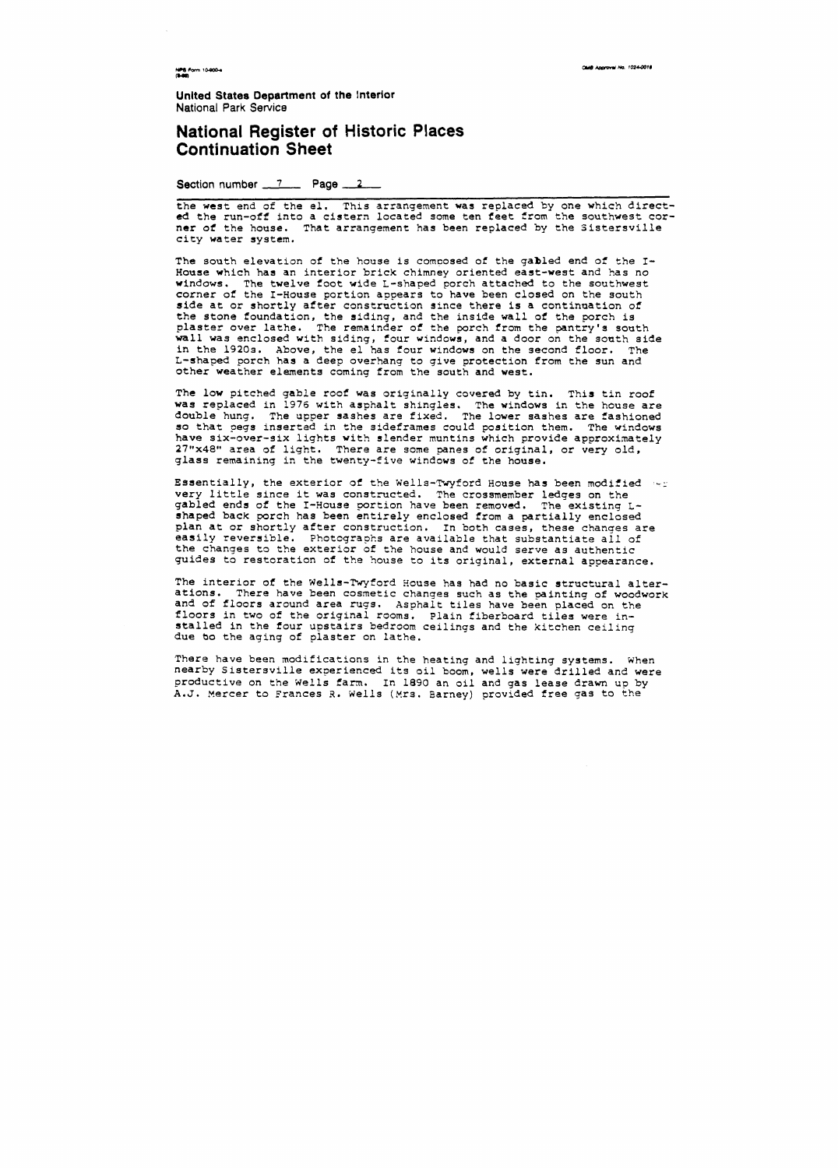OMB Approval No. 1024-0018

**NPS Form 10-900-4**<br>(8-86)

**Unlted States Department of the lnterior National Park Servics** 

# **National Register of Historic Places<br>Continuation Sheet<br>Section number <u>2008</u> Rage 2008 Continuation Sheet**

the west end of the el. This arrangement was replaced by one which directed the run-off into a cistern located some ten feet from the southwest corner of the house. That arrangement has been replaced by the Sistersville city water system,

The south elevation of the house is composed of the gabled end of the I-House which has an interior brick chimney oriented east-west and has no windows. The twelve foot wide L-shaped porch attached to the southwest corner of the I-House portion appears to have been closed on the south side at or shortly after construction since there is a continuation of the stone foundation, the siding, and the inside wall of the porch is plaster over lathe. The remainder of the porch from the pantry's south wall was enclosed with siding, four windows, and a door on the south side **in** the 1920s. Above, the el has four windows on the second floor, The L-shaped porch has a deep overhang to give protection from the sun and other weather elements coming from the south and west.

Essentially, the exterior of the Wells-Twyford House has been modified  $\ell_{\text{max}}$ very little since it was constructed. The crossmember ledges on the gabled ends of the I-House portion have been removed. The existing Lshaped back porch has been entirely enclosed from a partially enclosed plan at or shortly after construction. In both cases, these changes are easily reversible. Photographs are available that substantiate all of the changes to the exterior of the house and would serve as authentic guides to restoration of the house to its original, external appearance.

The low pitched gable roof was originally covered by tin. This tin roof **was** replaced in **1976** with asphalt shingles. The windows in the house are double hung. The upper sashes are fixed. The lower sashes are fashioned **so** that pegs inserted in the sideframes could position them. The windows have six-over-six lights with slender muntins which provide approximately **27"x48"** area of light. There are some panes of original, or very old, glass remaining in the twenty-five windows of the house.

The interior of the Wells-Twyford House **has** had no basic structural alterations. There have been cosmetic changes such as the painting of woodwork and of floors around area rugs. Asphalt tiles have been placed on the floors in two of the original rooms. Plain fiberboard tiles were installed in the four upstairs bedroom ceilings and the kitchen ceiling due **bo** the aging of plaster on lathe.

There have **been** modifications in the heating and lighting systems. When nearby Sistersville experienced its oil boom, wells were drilled and were productive on the Wells farm. In 1890 an oil and gas lease drawn up by **A.J.** Mercer to Frances 4. Wells (Mrs. Earney) provided free gas to the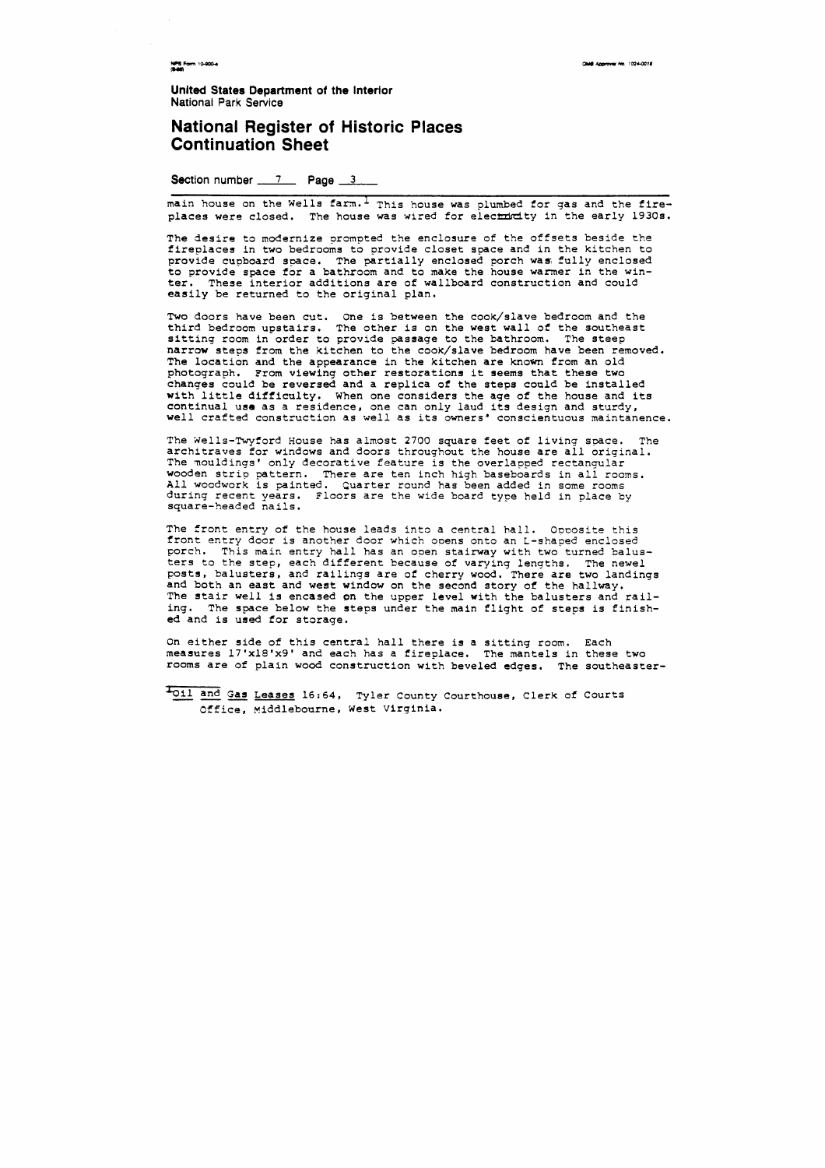NPS Form 10-800-4<br>(8-80)

**CMB Approval No. 1024-0018** 

**United States Department of the Interior National Park Service** 

#### **National Register of Historic Places Continuation Sheet**

**Section number 7 Page 3** 

main house on the Wells farm.<sup>1</sup> This house was plumbed for gas and the fireplaces were closed. The house was wired for electricity in the early 1930s.

Two doors have been cut. One is between the cook/slave bedroom and the third bedroom upstairs. The other is on the west wall of the southeast sitting room in order to provide passage to the bathroom. The steep narrow steps from the kitchen to the cook/slave bedroom have been removed. The location and the appearance in the kitchen are known from an old photograph. From viewing other restorations it seems that these two changes could be reversed and a replica of the steps could be installed with little difficulty. When one considers the age of the house and its continual use as a residence, one can only laud its design and sturdy, well crafted construction as well as its owners' conscientuous maintanence.

The desire to modernize prompted the enclosure of the offsets beside the fireplaces in two bedrooms to provide closet space and in the kitchen to provide cupboard space. The partially enclosed porch was; fully enclosed to provide space for a bathroom and to make the house warmer in the winter. These interior additions are of wallboard construction and could easily be returned to the original plan.

The front entry of the house leads into a central hall. Opposite this front entry door is another door which onens onto an L-shaped enclosed porch. This main entry hall has an open stairway with two turned balusters to the step, each different because of varying lengths. The newel posts, balusters, and railings are of cherry wood. There are two landings **and** both an east and west window on the second story of the hallway. The stair well is encased pn the upper level with the balusters and railing. The space below the steps under the main flight of steps is finished and is used for storage.

The Xells-Twyford House has almost 2700 square feet of living space. The architraves for windows and doors throughout the house are all original. The mouldings' only decorative feature is the overlapped rectangular wooden strip pattern. There are ten inch high baseboards in all rooms. All woodwork is painted. Quarter round has been added in some rooms during recent years. Floors are the wide board type held in place by square-headed nails.

On either side of this central hall there is a sitting room. Each measures 17'xl8'x9' and each has a fireplace. The mantels in these two rooms are of plain wood construction with beveled edges. The southeaster-

Loil and Gas Leases 16:64, Tyler County Courthouse, Clerk of Courts Office, Middlebourne, West Virginia.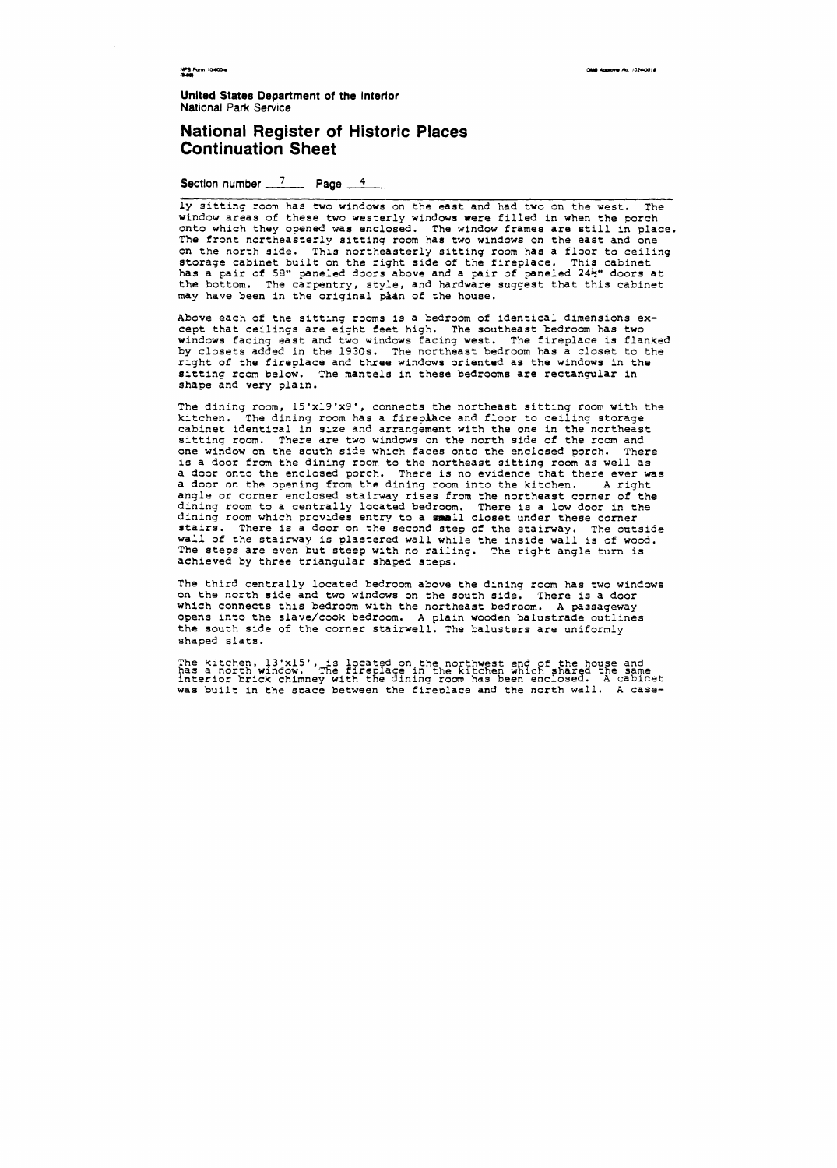OMB Approver No. 1024-0018

NPS Form 10-900-4

**Unlted States Department of the interior National Park Service** 

### **National Register of Historic Places Continuation Sheet**

Section number 7 Page 4

**ly** sitting room has two windows on the east and had two on the west. The window areas of these two westerly windows were filled in when the porch onto which they opened **was** enclosed. The window frames are still in place. The front northeasterly sittinq room has two windows on the east and one on the north side. This northeasterly sitting room has a floor to ceiling storage cabinet built on the right side of the fireplace. This cabinet has a pair of 58" paneled doors above and a pair of paneled 24<sup>1</sup>" doors at the bottom. The carpentry, style, and hardware suggest that this cabinet **may** have been in the original plan of the house.

**Above** each of the sittinq rooms is a bedroom of identical dimensions except that ceilings are eight feet high. The southeast bedroom has two windows facing east and two windows facing west. The fireplace is flanked by closets added in the 1930s. The northeast bedroom has a closet to the right of the fireplace and three windows oriented **as** the windows in the sitting room below. The mantels in these bedrooms are rectangular in shape and very plain.

The kitchen, 13'x15', is located on the northwest end of the house and has a north window. The flreolace in the kltchen which share2 the same interior brick chimney with the dining room has been enclosed. **A** cabinet **was** built in the space between the fireplace and the north wall. **A** case-

The dininq room, 15'xl9'x9', connects the northeast sitting room with the kitchen. The dining room has a fireplace and floor to ceiling storage cabinet identical in size and arrangement with the one in the northeast sitting room. There are two windows on the north side of the room and one window on the south side which faces onto the enclosed porch. There is a door from the dining room to the northeast sitting room as well as a door onto the enclosed porch. There is no evidence that there ever was a door on the opening from the dining room into the kitchen. A right anqle or corner enclosed stairway rises from the northeast corner of the dining room to a centrally located bedroom. There is a low door in the dininq room which provides entry to a small closet under these corner stairs. There is a door on the second step of the stairway. The outside wall of the stairway is plastered wall while the inside wall is of wood. The steps are even but steep with no railing. The right angle turn is achieved by three triangular shaped steps.

The third centrally located bedroom above the dininq room has two windows on the north side and two windows on the south side. There is a door which connects this bedroom with the northeast bedroom. **A** passageway opens into the slave/cook bedroom. **A** plain wooden balustrade outlines the **south** side of the corner stairwell. The balusters are uniformly shaped slats.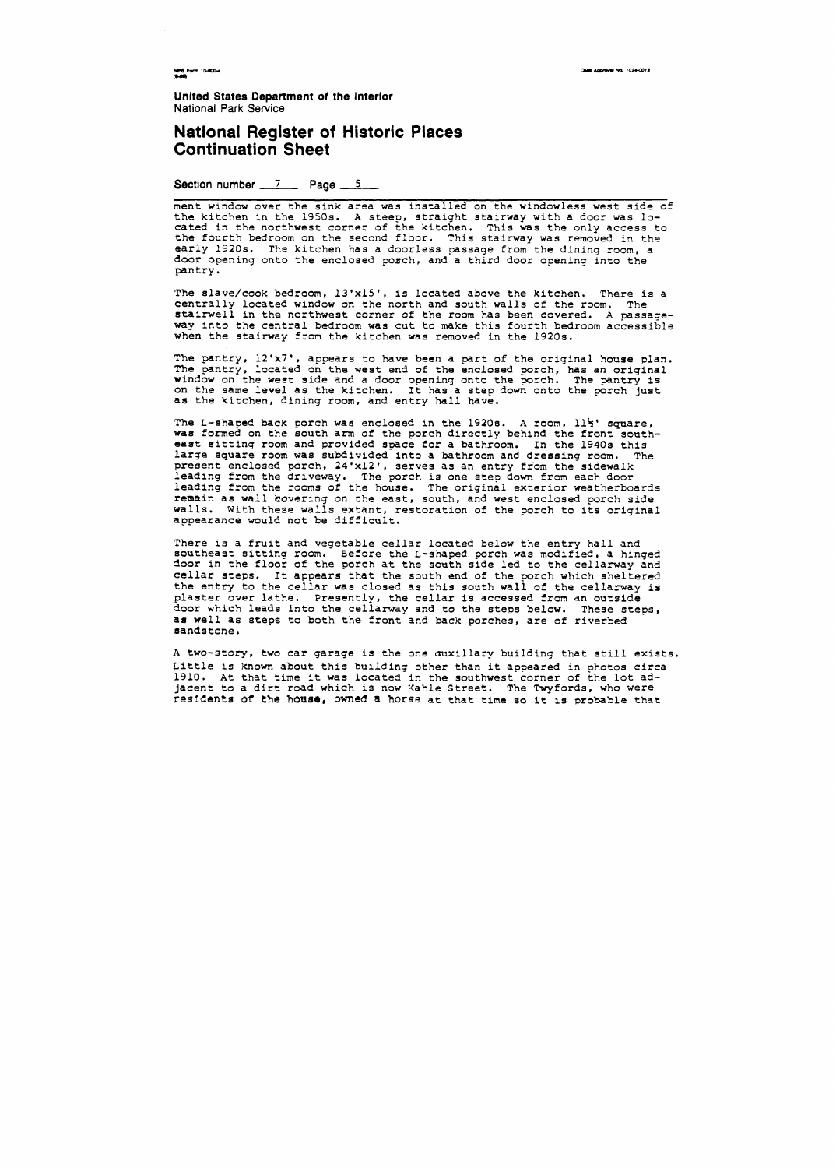OMB Approval No. 1024-0018

NPS Form 10-900-4

**United States Department of the Interior** National Park **Service** 

ment window over the sink area was installed on the windowless west side of the kitchen in the 1950s. A steep, straight stairway with a door was located in the northwest corner of the kitchen. This was the only access to the fourth bedroom on the second floor. This stairway was removed in the early 1920s. The kitchen has a doorless passage from the dining room, a door opening onto the enclosed poach, and a third door opening into the pantry.

#### **National Register of Historic Places Continuation Sheet**

Section number 7 **Page 5** 

The slave/cook bedroom, 13'x15', is located above the kitchen. There is a centrally located window on the north and south walls of the room. The stairwell in the northwest corner of the room has been covered. **A** passage**way** into the central bedroom was cut to make this fourth bedroom accessible when the stairway from the kitchen was removed in the 1920s.

The L-shaped back porch was enclosed in the 1920s. A room,  $11\frac{1}{2}$ ' square, was formed on the south am of the porch directly behind the front soath**east** sittinq room and provided space for a bathroom. In the 1940s this large square room was subdivided into a bathroom and dressing room. The present enclosed porch, 24'x12', serves as an entry from the sidewalk leading from the driveway. The porch is one step down from each door leading from the rooms of the house. The original exterior weatherboards remain as wall covering on the east, south, and west enclosed porch side walls. With these **walls** extant, restoration of the porch to its original appearance would not be difficult.

The pantry, 12'x7', appears to have been a part of the original house plan. The pantry, located on the west end of the enclosed porch, has an original window on the west side and a door opening onto the porch. The pantry is on the same level as the kitchen. It has a step down onto the porch just **as** the kitchen, dining room, and entry hall have.

There is a fruit and vegetable cellar located below the entry hall and southeast sittinq room. Before the L-shaped porch was modified, a hinged door in the floor of the porch at the south side **led** to the cellarway and cellar steps. It appears that the south **end** of the porch which sheltered the entry to the cellar was closed as this south wall of the cellarway is plaster over lathe. Presently, the cellar is accessed from an outside **door** which leads into the cellarway and to the steps below. These steps, **as** well as steps to both the front and back porches, are of riverbed sandstone.

A two-story, two car garage is the one auxiliary building that still exists. Little is known about this building other than it appeared in photos circa 1910. **At** that time it was located in the southwest corner of the lot adjacent to a dirt road which is now Kahle Street. The Twyfords, who were **residents of the hoase, awned** a **horse** at that time **so** it is probable that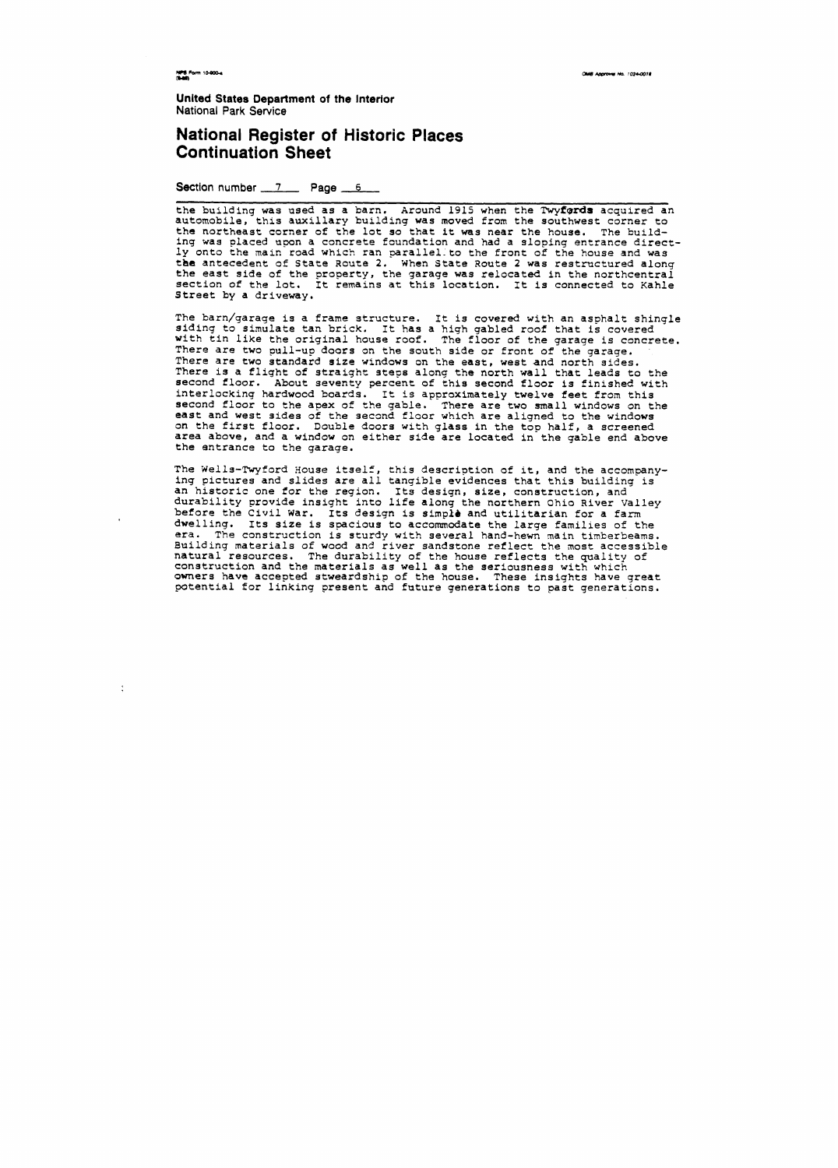OMB Aggroval No. 1024-0018

NPS Form 10-900-4

 $\mathcal{L}$ 

**United States Department of the Interior National Park Service** 

### **National Register of Historic Places continuation Sheet**

**Section number 7 Page 6** 

the building was used as a barn, Around 1915 when the **Twyfards** acquired an automobile, this auxiliary building was moved from the southwest corner to the northeast corner of the lot so that it was near the house. The building was placed upon a concrete foundation and had a sloping entrance directly onto the main road which ran parallel- to the front of the house and was tbe antecedent of State Route 2. When State Route 2 was restructured along the east side of the property, the garage was relocated in the northcentral section of the lot. It remains at this location. It is connected to Kahle Street by a driveway.

The barn/garaqe is a frame structure. It is covered with an asphalt shingle siding to simulate tan brick, It has a high gabled roof that is covered with tin like the original house roof. The floor of the garage is concrete. There are two pull-up doors on the south side or front of the garage. There are two standard size windows on the east, west and north sides. There is a flight of straight steps along the north wall that leads to the second floor. About seventy percent of this second floor is finished with interlocking hardwood boards. It is approximately twelve feet from this second floor to the apex of the gable. There are two small windows on the east and west sides of the second floor which are aligned to the windows on the first floor. Double doors with glass in the top half, a screened area above, and a window on either side are located in the gable end above the entrance to the garage.

The Wells-Twyford House itself, this description of it, and the accompanying pictures and slides are ail tangible evidences that this building is an historic one for the region. Its design, size, construction, and durability provide insight into life along the northern Ohio River Valley before the Civil War. Its design is simple and utilitarian for a farm dwelling. Its size is spacious to accommodate the large families of the **era.** The construction is sturdy with several hand-hewn main timberbeams. Building materials of wood and river sandstone reflect the most accessible natural resources. The durability of the house reflects the quality of construction and the materials as well as the seriousness with which owners have accepted stweardship of the house. These insights have great potential for linking present and future generations to past generations.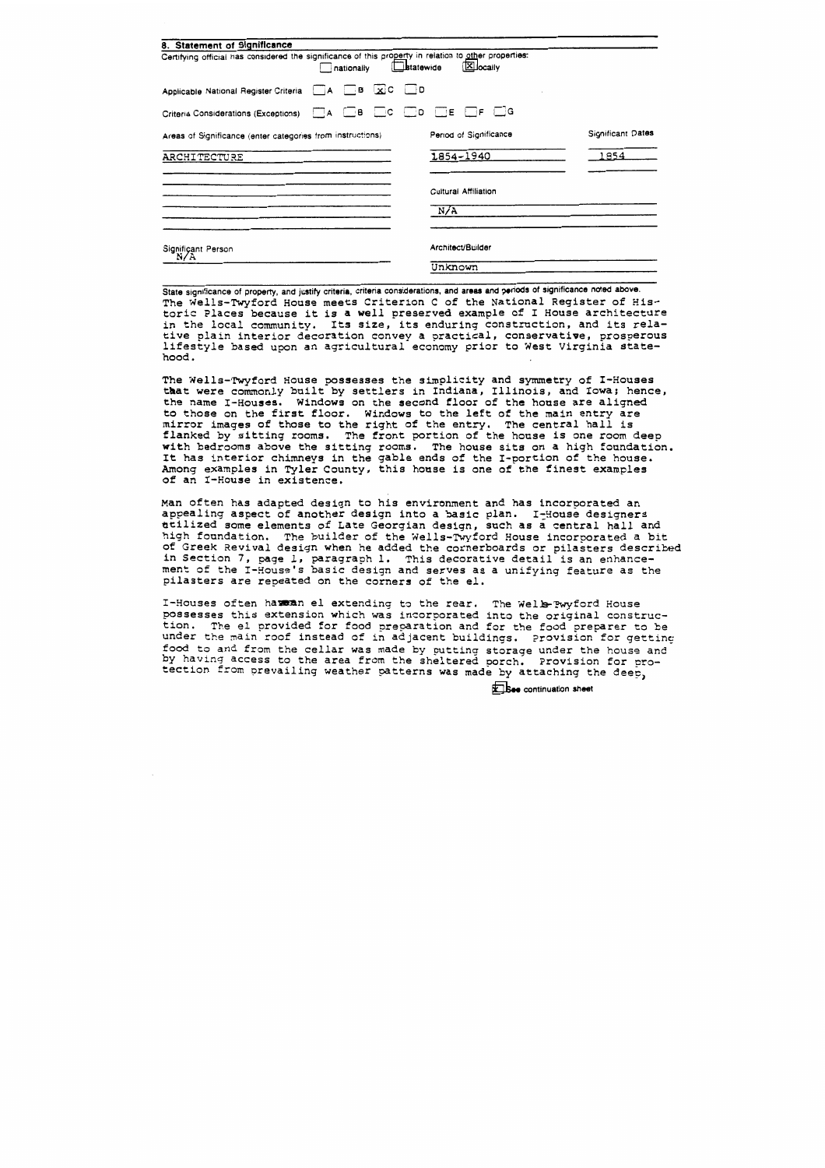| 8. Statement of Significance                                                                          |            |                      |                                                                |                   |
|-------------------------------------------------------------------------------------------------------|------------|----------------------|----------------------------------------------------------------|-------------------|
| Certifying official has considered the significance of this property in relation to other properties: | nationally | $L$ <b>statewide</b> | <b>X</b> locally                                               |                   |
| Applicable National Register Criteria A B XC D                                                        |            |                      |                                                                |                   |
| Criteria Considerations (Exceptions)                                                                  |            |                      | $\Box$ A $\Box$ B $\Box$ C $\Box$ D $\Box$ E $\Box$ F $\Box$ G |                   |
| Areas of Significance (enter categories from instructions)                                            |            |                      | Period of Significance                                         | Significant Dates |
| ARCHITECTURE                                                                                          |            |                      | 1854-1940                                                      | 1854              |
|                                                                                                       |            |                      | Cultural Affiliation                                           |                   |
|                                                                                                       |            |                      | N/A                                                            |                   |
| Significant Person<br>N/A                                                                             |            |                      | Architect/Builder                                              |                   |
|                                                                                                       |            |                      | Unknown                                                        |                   |

State significance of property, and justify criteria, criteria considerations, and areas and periods of significance noted above. The Wells-Twyford House meets Criterion C of the National Register of Historic Places because it is a well preserved example of I House architecture in the local community. Its size, its enduring constraction, and its relative plain interior decoration convey a practical, conservative, prosperous lifestyle based upon an agricultural economy prior to West Virginia statehood.

The Wells-Twyford House possesses the simplicity and symmetry of I-Houses that were commonly built by settlers in Indiana, Illinois, and Iowa; hence, the name I-Houses. Windows on the second floor of the honse are aligned to those on the first floor. Windows to the left of the main entry are mirror images of those to the right of the entry. The central hall is flanked by sitting rooms. The front portion of the house is one room deep with bedrooms above the sitting rooms. The house sits on a high foundation. It has interior chimneys in the gable ends of the I-portion of the house. Among examples in Tyler County, this honse is one of the finest examples of an I-House in existence.

Man often has adapted design to his environment and has incorporated an appealing aspect of another design into a basic plan. I-House designers htilized some elements of Late Georgian design, such as a central hall and high fonndation. The builder of the Wells-Twyford House incorporated a bit of Greek Revival design when he added the cornerboards or pilasters described if Greek Revival design when he added the cornerboards or pilasters descr<br>n Section 7, page 1, paragraph 1. This decorative detail is an enhance<del>-</del> ment of the I-House's basic design and serves as a unifying feature as the pilasters are repeated on the corners of the el.

I-Houses often hamman el extending to the rear. The Well-Pwyford House possesses this extension which was incorporated into the original construction. The el provided for food preparation and for the food preparer to be under the main roof instead of in adjacent buildings. Provision for getting food to **and** from the cellar was made by putting storage under the **house and**  by having access to the area from the sheltered porch. Provision for pro-<br>tection from prevailing weather patterns was made by attaching the deep,

**See** continuation sheet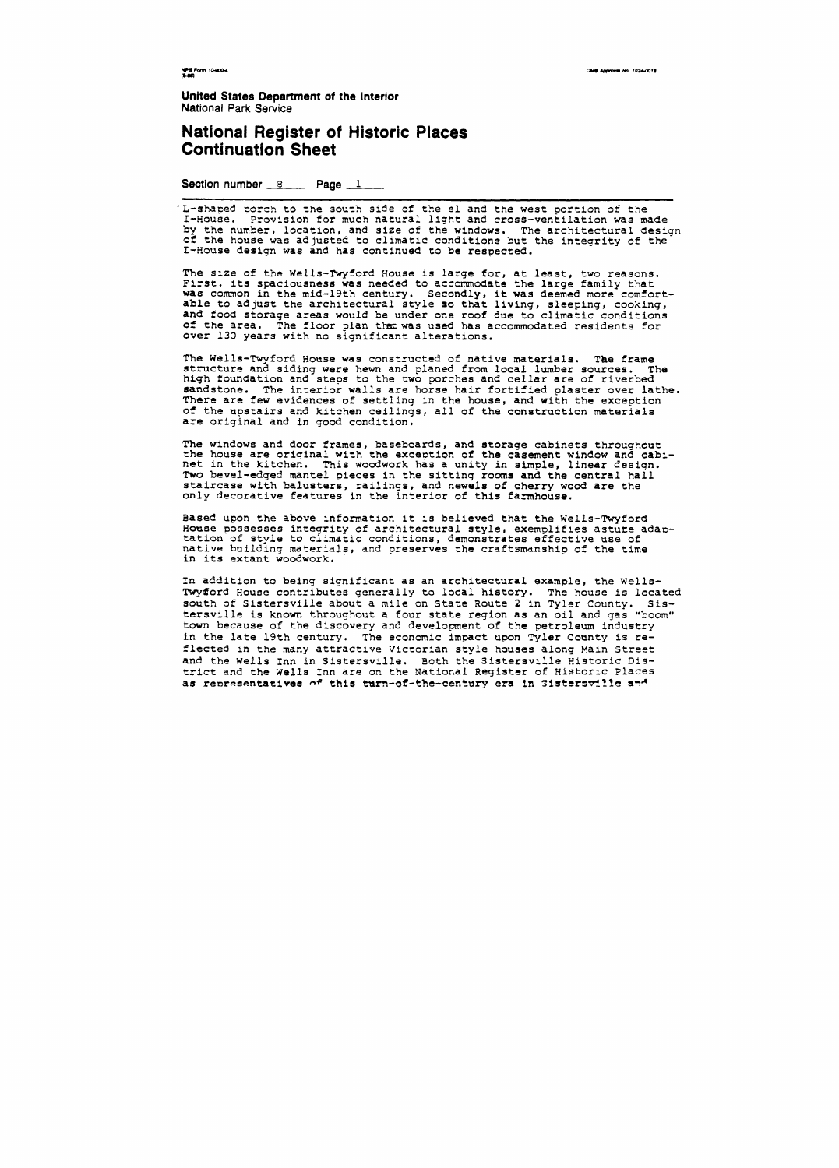CAME ACCOUNT NO. 1024-0018

NPS Form 10-800-4

**Unlted States Department of the Interior**  National Park Service

## **National Register of Historic Places Continuation Sheet**

Section number  $8 \times 1$ 

'L-shaped porch to the south side of the el and the west portion of the I-House. Provision for much natural light and cross-ventilation was made by the number, location, and size of the windows. The architectural design of the house was adjusted to climatic conditions but the integrity of the I-House design was and has continued to be respected.

The Wells-Twyford House was constructed of native materials. **The** frame structure and siding were hewn and planed from local lumber sources. The high foundation and steps to the two porches and cellar are of riverbed sandstone. The interior walls are horse hair fortified plaster over lathe. There are few evidences of settling in the house, and with the exception of the upstairs and kitchen ceilings, all of the construction materials are original and in good condition.

The size of the Wells-Twyford House is Large for, at least, two reasons. First, its spaciousness was needed to accommodate the large family that was common in the mid-19th century. Secondly, it was deemed more comfortable to adjust the architectural style so that living, sleeping, cooking, and food storage areas would be under one roof due to climatic conditions of the area. The floor plan that was used has accommodated residents for over 130 years with no significant alterations.

In addition to being significant as an architectural example, the Wells-Twyford House contributes generally to local history. The house is located south of Sistersville about a mile on State Route 2 in Tyler County. Sistersville is known throuqhout a four state region as an oil and gas "boom" town because of the discovery and development of the petroleum industry in the late 19th century. The economic impact upon Tyler County is reflected in the many attractive Victorian style houses along Main Street and the Wells Inn in Sistersville. Both the Sistersville Historic District and the Wells Inn are on the National Register of Historic Places as representatives of this turn-of-the-century era in Sistersville and

The windows and door frames, baseboards, and storage cabinets throuqhout the house are original with the exception of the casement window and cabinet in the kitchen. This woodwork has a unity in simple, linear design. Two bevel-edged mantel pieces in the sitting rooms and the central hall staircase with balusters, railings, and newels of cherry wood are the only decorative features in the interior of this farmhouse.

Based upon the above information it is believed that the Wells-Twyford House possesses integrity of architectural style, exemplifies astute adaotation of style to climatic conditions, demonstrates effective **use** of native building materials, and preserves the craftsmanship of the time in its extant woodwork.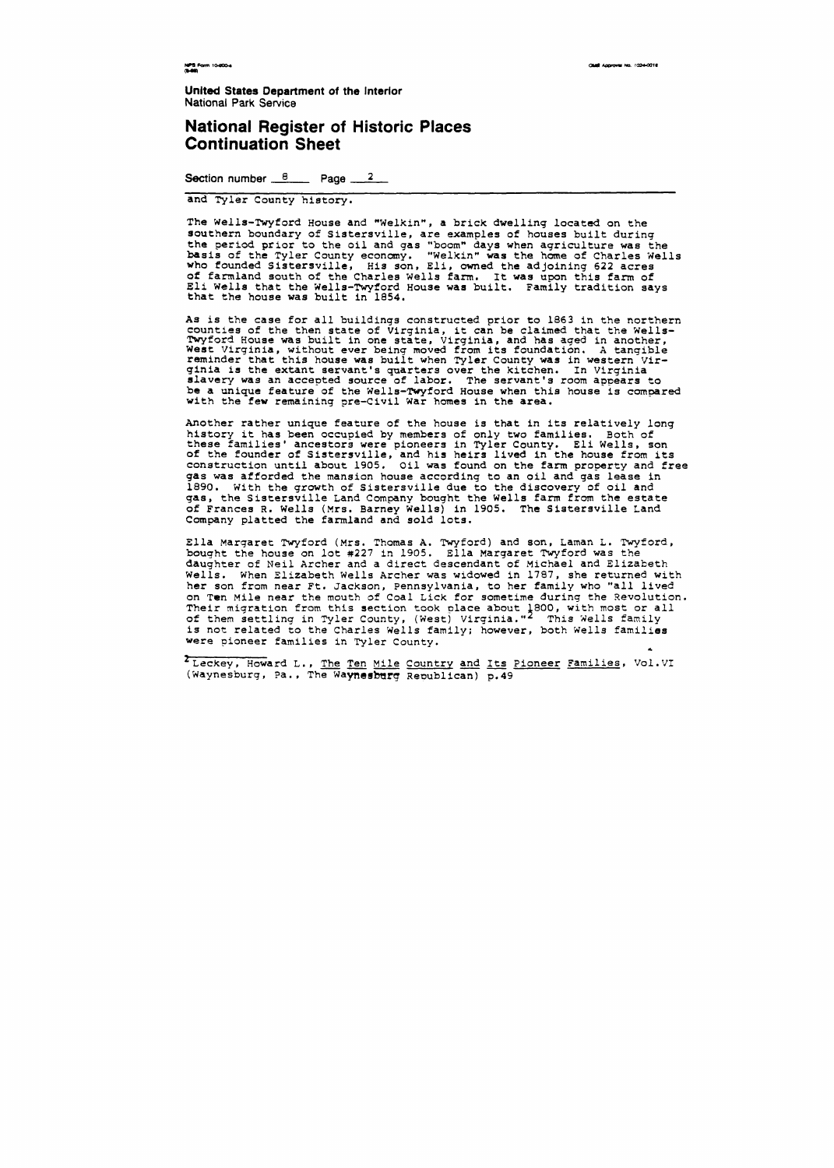NPS Form 10-800-4

OMB Approves No. 1024-0018

**United States Department of the Interior National Park Service** 

#### **National Register of Historic Places Continuation Sheet**

**Section number 8 Page <sup>2</sup>**

and Tyler County hiatory.

The Wells-Twyford House and "Welkin", a brick dwelling located on the southern boundary of Sistersville, are examples of houses built during the period prior to the oil and **gas** "boomn days when agriculture was the basis of the Tyler County econcany. "Welkinn **was** the **home** of Charles Wells who founded Sistersville, His son, Eli, owned the adjoining 622 acres of farmland south of the Charles wells farm. It was upon this farm of Eli Wells that the Wells-Twyford House was built. Family tradition says that the house was built in 1854.

As is the case for all buildings constructed prior to 1863 in the northern counties of the then state of Virginia, it can be claimed that the Wells-Twyford House was built in one state, Virginia, and has aged in another, reminder that this house was built when Tyler County was in western Vir-<br>ginia is the extant servant's quarters over the kitchen. In Virginia slavery was an accepted source of labor. The servant's room appears to be a unique feature of the Wells-Twyford House when this house is compared with the few remaining pre-Civil War homes in the **area.** 

'leckey, Howard L., The Ten Mile Country and Its Pioneer Families, Vol.VI (Waynesburg, Pa., The Waynesburg Republican) p. 49

Another rather unique feature of the house is that in its relatively long history it has been occupied by members of only two families. Both of these families' ancestors were pioneers in Tyler County. Eli Wells, son of the founder of Sistersville, and his heirs lived in the house from its construction until about 1905. Oil was found on the farm property and free gas was afforded the mansion house according to an oil and **gas** lease in 1890. With the growth of Sistersville due to the discovery of oil and **gas,** the Sistersville Land Company bought the Wells farm from the estate of Frances R. Wells (Mrs. Barney Wells) in 1905. The Sistersville Land Company platted the farmland and sold lots.

Ella Margaret Twyford (Mrs. Thomas A. Twyford) and son, Laman L. Twyford, bought the house on lot **#227** in 1905. Ella Margaret Twyford was the daughter of Neil Archer and a direct descendant of Michael and Elizabeth Wells. When Elizabeth Wells Archer was widowed in 1787, she returned with her son from near Ft. Jackson, Pennsylvania, to her family who "all lived on Ten Mile near the mouth of Coal Lick for sometime during the Revolution. Their migration from this section took place about 1800, with most or all of them settling in Tyler County, (West) Virginia."<sup>2</sup> This Wells family is not related to the Charles Wells family; however, both Wells families were pioneer families in Tyler County.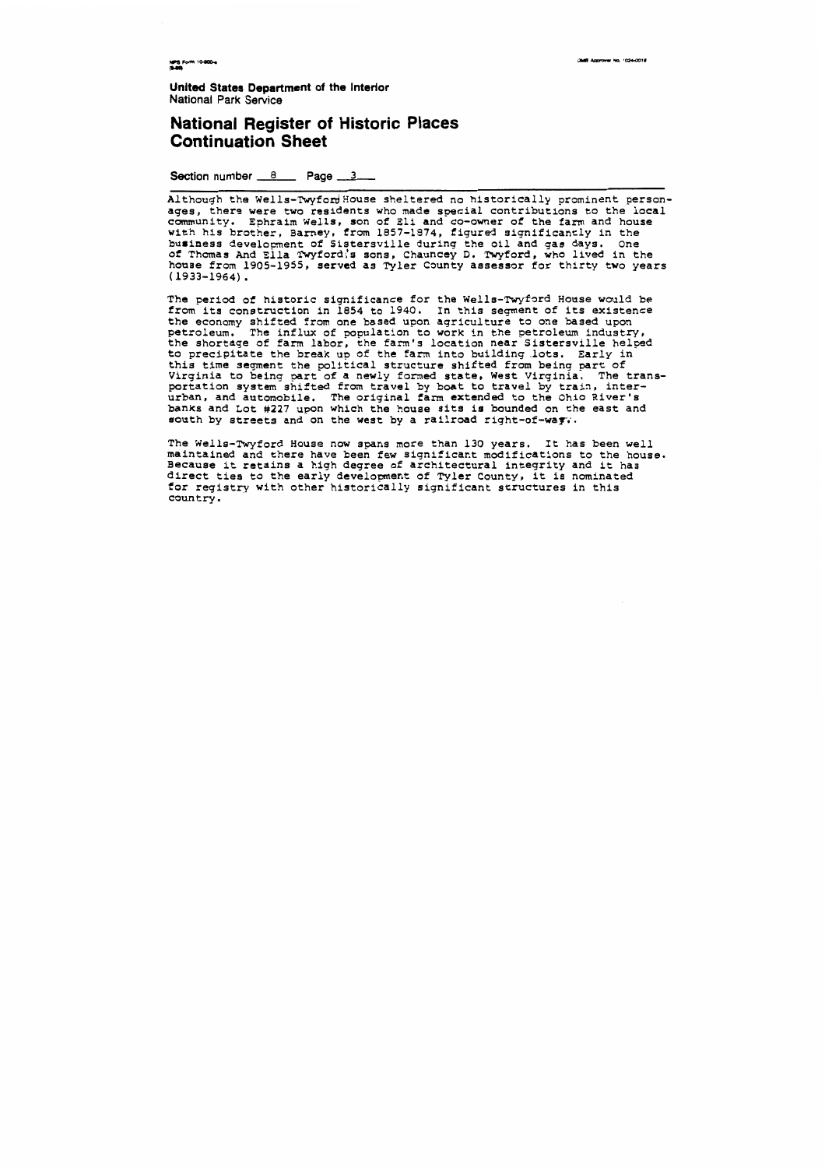**NPS Form 10-800-4**<br>(8-86)

**AR Announce No. 1024-0018** 

**United States Department of the Interior National Park Service** 

#### **National Register of Historic Places Continuation Sheet**

**Section number 8 Page 3 1** 

Although the Wells-Twyfor House sheltered no historically prominent personages, there were two residents who made special contributions to the local community. Ephraim Wells, son of Eli and co-owner of the farm and house with his brother, Barney, from 1857-1974, figured significantly in the business development of Sistersville during the oil and gas days. One of Thomas And Ella Twyford;'s sons, Chauncey D. Twyford, who lived in the house from 1905-1955, served as Tyler County assessor for thirty two years ( 1933-1964) .

The period of historic significance for the Wells-Twyford House would be from its construction in 1854 to 1940. In this segment of its existence the economy shifted from one based upon agriculture to one based upon petroleum. The influx of population to work in the petroleum industry, the shortage of farm labor, the farm's location near Sistersville helped to precipitate the break up of the farm into building .lots. Early in this time segment the political structure shifted from being part of Virginia to being part of a newly formed state, west Virginia. The transportation system shifted from travel by boat to travel by train, interurban, and automobile. The original farm extended to the Ohio River's banks and Lot **#227** upon which the house sits is bounded on the east and south by streets and on the west by a railroad right-of-way.

The Wells-Twyford House now spans more than 130 years. It has been well maintained and there have been few significant modifications to the house. Because it retains a high degree of architectural integrity and it has direct ties to the early development of Tyler County, it is nominated for registry with other historically significant structures in this country.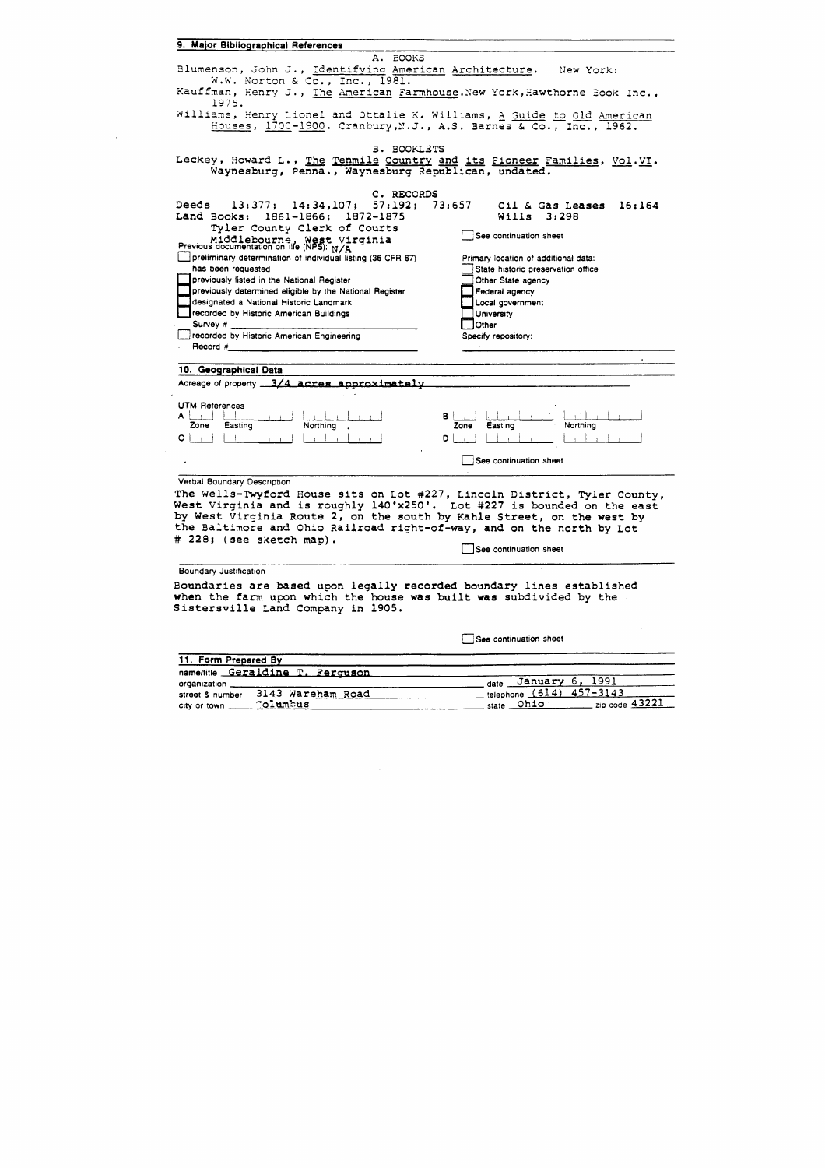|  | 9. Major Bibliographical References |  |
|--|-------------------------------------|--|
|  |                                     |  |



See continuation sheet

| 11. Form Prepared By              |                                                        |
|-----------------------------------|--------------------------------------------------------|
| name/title Geraldine T. Ferguson  |                                                        |
| organization                      | date January 6, 1991                                   |
| street & number 3143 Wareham Road | telephone (614) 457-3143                               |
| <b>Columbus</b><br>city or town   | $\frac{1}{2}$ zip code $\frac{43221}{2}$<br>state Ohio |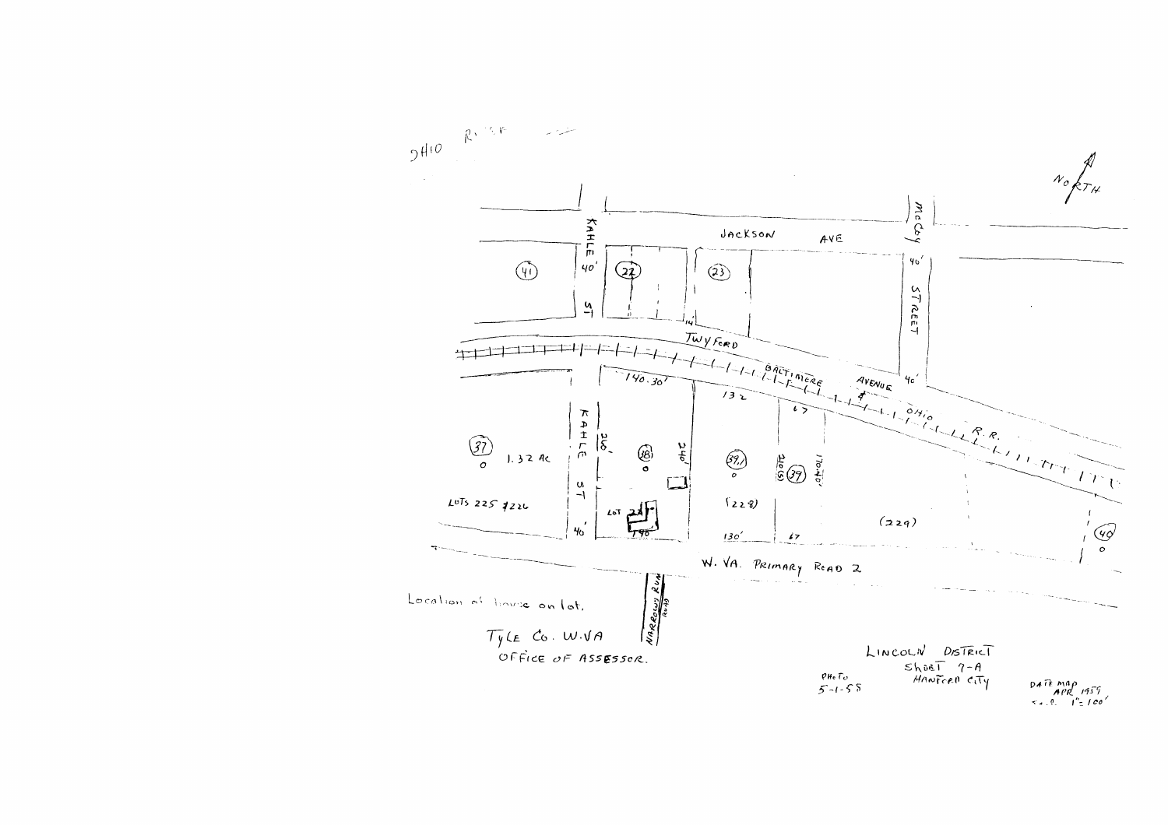

 $P4$ <sup>TE</sup> MAP<br> $APR$  1959<br> $S = 1$  = 100'